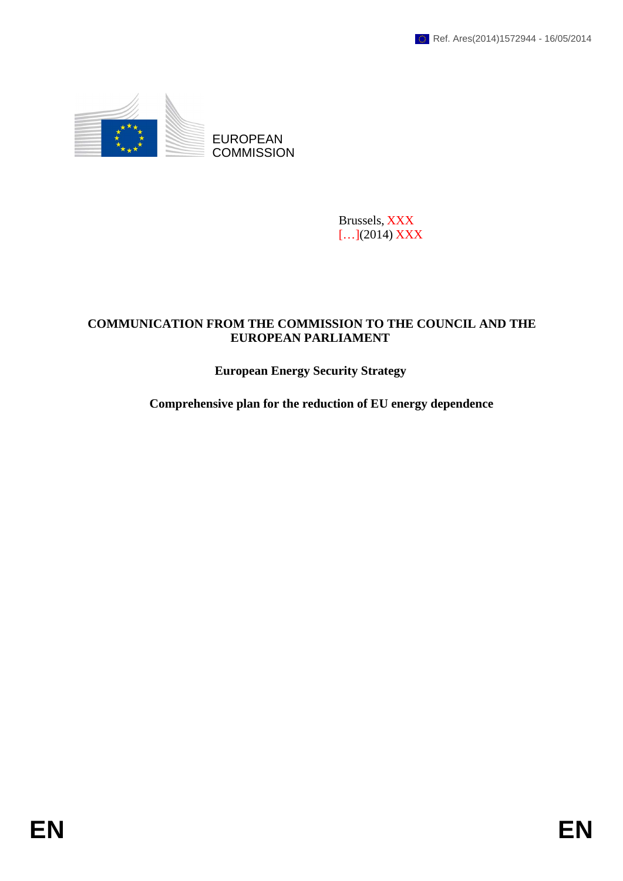

EUROPEAN **COMMISSION** 

> Brussels, XXX […](2014) XXX

# **COMMUNICATION FROM THE COMMISSION TO THE COUNCIL AND THE EUROPEAN PARLIAMENT**

# **European Energy Security Strategy**

**Comprehensive plan for the reduction of EU energy dependence**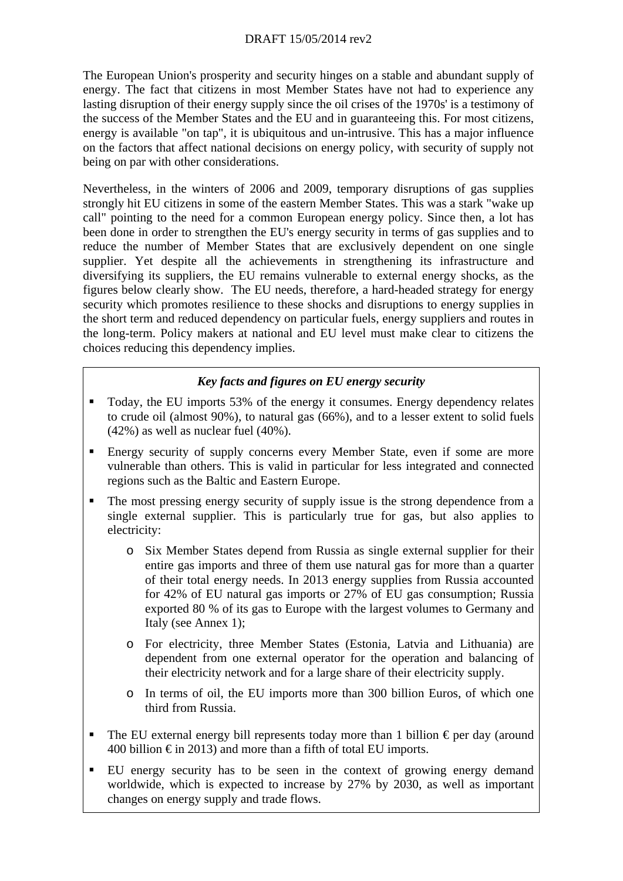# DRAFT 15/05/2014 rev2

The European Union's prosperity and security hinges on a stable and abundant supply of energy. The fact that citizens in most Member States have not had to experience any lasting disruption of their energy supply since the oil crises of the 1970s' is a testimony of the success of the Member States and the EU and in guaranteeing this. For most citizens, energy is available "on tap", it is ubiquitous and un-intrusive. This has a major influence on the factors that affect national decisions on energy policy, with security of supply not being on par with other considerations.

Nevertheless, in the winters of 2006 and 2009, temporary disruptions of gas supplies strongly hit EU citizens in some of the eastern Member States. This was a stark "wake up call" pointing to the need for a common European energy policy. Since then, a lot has been done in order to strengthen the EU's energy security in terms of gas supplies and to reduce the number of Member States that are exclusively dependent on one single supplier. Yet despite all the achievements in strengthening its infrastructure and diversifying its suppliers, the EU remains vulnerable to external energy shocks, as the figures below clearly show. The EU needs, therefore, a hard-headed strategy for energy security which promotes resilience to these shocks and disruptions to energy supplies in the short term and reduced dependency on particular fuels, energy suppliers and routes in the long-term. Policy makers at national and EU level must make clear to citizens the choices reducing this dependency implies.

# *Key facts and figures on EU energy security*

- Today, the EU imports 53% of the energy it consumes. Energy dependency relates to crude oil (almost 90%), to natural gas (66%), and to a lesser extent to solid fuels (42%) as well as nuclear fuel (40%).
- Energy security of supply concerns every Member State, even if some are more vulnerable than others. This is valid in particular for less integrated and connected regions such as the Baltic and Eastern Europe.
- The most pressing energy security of supply issue is the strong dependence from a single external supplier. This is particularly true for gas, but also applies to electricity:
	- o Six Member States depend from Russia as single external supplier for their entire gas imports and three of them use natural gas for more than a quarter of their total energy needs. In 2013 energy supplies from Russia accounted for 42% of EU natural gas imports or 27% of EU gas consumption; Russia exported 80 % of its gas to Europe with the largest volumes to Germany and Italy (see Annex 1);
	- o For electricity, three Member States (Estonia, Latvia and Lithuania) are dependent from one external operator for the operation and balancing of their electricity network and for a large share of their electricity supply.
	- o In terms of oil, the EU imports more than 300 billion Euros, of which one third from Russia.
- The EU external energy bill represents today more than 1 billion  $\epsilon$  per day (around 400 billion  $\epsilon$  in 2013) and more than a fifth of total EU imports.
- EU energy security has to be seen in the context of growing energy demand worldwide, which is expected to increase by 27% by 2030, as well as important changes on energy supply and trade flows.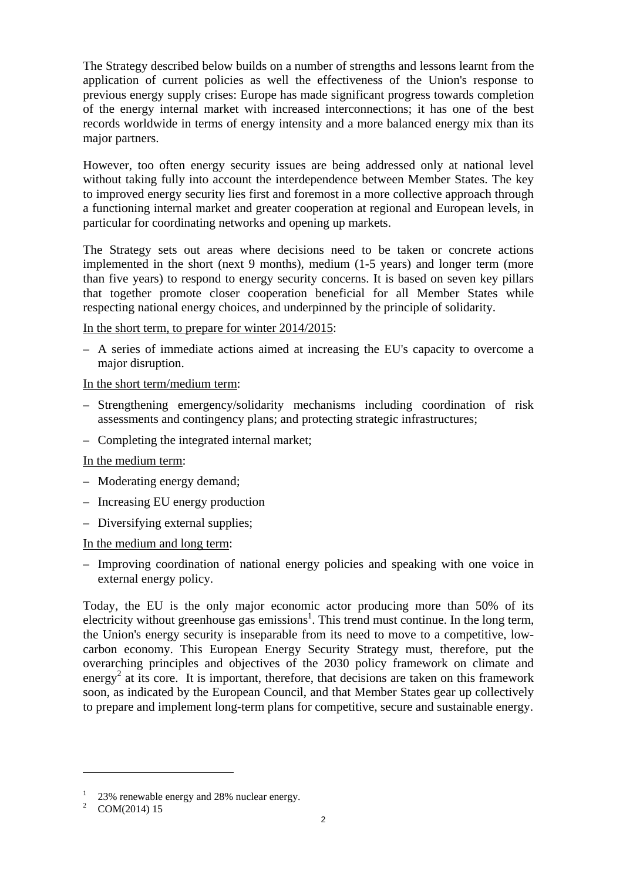The Strategy described below builds on a number of strengths and lessons learnt from the application of current policies as well the effectiveness of the Union's response to previous energy supply crises: Europe has made significant progress towards completion of the energy internal market with increased interconnections; it has one of the best records worldwide in terms of energy intensity and a more balanced energy mix than its major partners.

However, too often energy security issues are being addressed only at national level without taking fully into account the interdependence between Member States. The key to improved energy security lies first and foremost in a more collective approach through a functioning internal market and greater cooperation at regional and European levels, in particular for coordinating networks and opening up markets.

The Strategy sets out areas where decisions need to be taken or concrete actions implemented in the short (next 9 months), medium (1-5 years) and longer term (more than five years) to respond to energy security concerns. It is based on seven key pillars that together promote closer cooperation beneficial for all Member States while respecting national energy choices, and underpinned by the principle of solidarity.

In the short term, to prepare for winter 2014/2015:

– A series of immediate actions aimed at increasing the EU's capacity to overcome a major disruption.

In the short term/medium term:

- Strengthening emergency/solidarity mechanisms including coordination of risk assessments and contingency plans; and protecting strategic infrastructures;
- Completing the integrated internal market;

#### In the medium term:

- Moderating energy demand;
- Increasing EU energy production
- Diversifying external supplies;

In the medium and long term:

– Improving coordination of national energy policies and speaking with one voice in external energy policy.

Today, the EU is the only major economic actor producing more than 50% of its  $\epsilon$  electricity without greenhouse gas emissions<sup>1</sup>. This trend must continue. In the long term, the Union's energy security is inseparable from its need to move to a competitive, lowcarbon economy. This European Energy Security Strategy must, therefore, put the overarching principles and objectives of the 2030 policy framework on climate and energy<sup>2</sup> at its core. It is important, therefore, that decisions are taken on this framework soon, as indicated by the European Council, and that Member States gear up collectively to prepare and implement long-term plans for competitive, secure and sustainable energy.

<sup>&</sup>lt;sup>1</sup> 23% renewable energy and 28% nuclear energy.

<sup>&</sup>lt;sup>2</sup> COM(2014) 15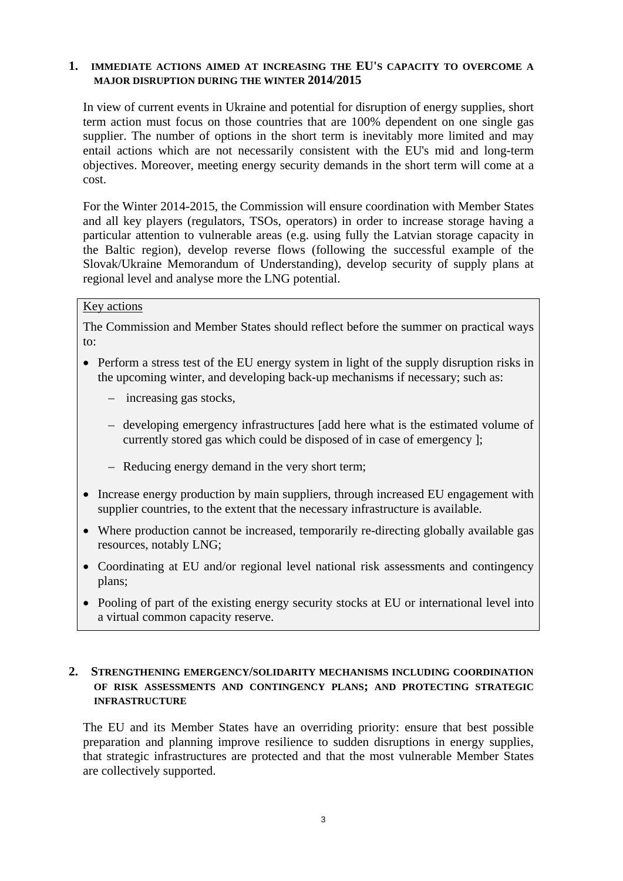### **1. IMMEDIATE ACTIONS AIMED AT INCREASING THE EU'S CAPACITY TO OVERCOME A MAJOR DISRUPTION DURING THE WINTER 2014/2015**

In view of current events in Ukraine and potential for disruption of energy supplies, short term action must focus on those countries that are 100% dependent on one single gas supplier. The number of options in the short term is inevitably more limited and may entail actions which are not necessarily consistent with the EU's mid and long-term objectives. Moreover, meeting energy security demands in the short term will come at a cost.

For the Winter 2014-2015, the Commission will ensure coordination with Member States and all key players (regulators, TSOs, operators) in order to increase storage having a particular attention to vulnerable areas (e.g. using fully the Latvian storage capacity in the Baltic region), develop reverse flows (following the successful example of the Slovak/Ukraine Memorandum of Understanding), develop security of supply plans at regional level and analyse more the LNG potential.

### Key actions

The Commission and Member States should reflect before the summer on practical ways to:

- Perform a stress test of the EU energy system in light of the supply disruption risks in the upcoming winter, and developing back-up mechanisms if necessary; such as:
	- increasing gas stocks,
	- developing emergency infrastructures [add here what is the estimated volume of currently stored gas which could be disposed of in case of emergency ];
	- Reducing energy demand in the very short term;
- Increase energy production by main suppliers, through increased EU engagement with supplier countries, to the extent that the necessary infrastructure is available.
- Where production cannot be increased, temporarily re-directing globally available gas resources, notably LNG;
- Coordinating at EU and/or regional level national risk assessments and contingency plans;
- Pooling of part of the existing energy security stocks at EU or international level into a virtual common capacity reserve.

#### **2. STRENGTHENING EMERGENCY/SOLIDARITY MECHANISMS INCLUDING COORDINATION OF RISK ASSESSMENTS AND CONTINGENCY PLANS; AND PROTECTING STRATEGIC INFRASTRUCTURE**

The EU and its Member States have an overriding priority: ensure that best possible preparation and planning improve resilience to sudden disruptions in energy supplies, that strategic infrastructures are protected and that the most vulnerable Member States are collectively supported.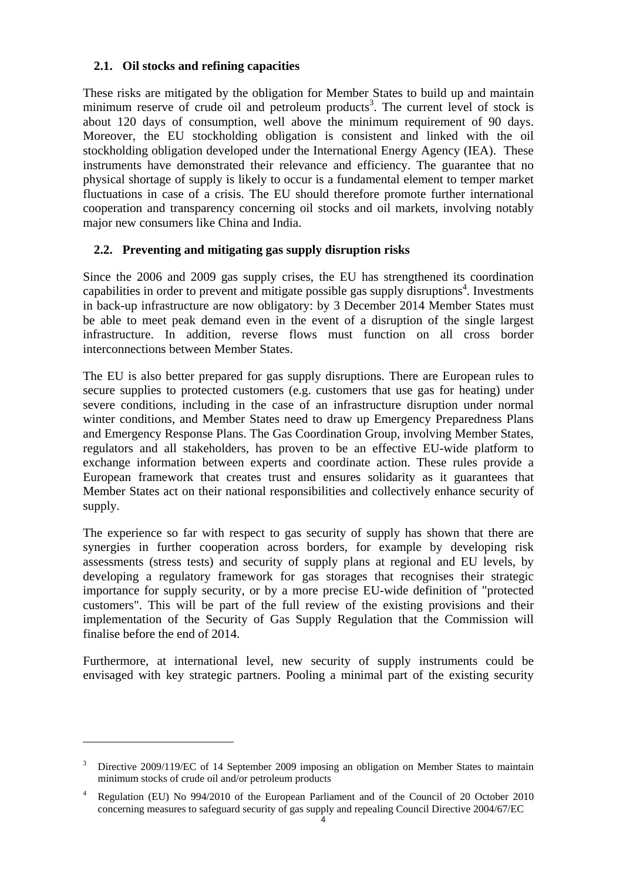# **2.1. Oil stocks and refining capacities**

These risks are mitigated by the obligation for Member States to build up and maintain minimum reserve of crude oil and petroleum products<sup>3</sup>. The current level of stock is about 120 days of consumption, well above the minimum requirement of 90 days. Moreover, the EU stockholding obligation is consistent and linked with the oil stockholding obligation developed under the International Energy Agency (IEA). These instruments have demonstrated their relevance and efficiency. The guarantee that no physical shortage of supply is likely to occur is a fundamental element to temper market fluctuations in case of a crisis. The EU should therefore promote further international cooperation and transparency concerning oil stocks and oil markets, involving notably major new consumers like China and India.

# **2.2. Preventing and mitigating gas supply disruption risks**

Since the 2006 and 2009 gas supply crises, the EU has strengthened its coordination capabilities in order to prevent and mitigate possible gas supply disruptions<sup>4</sup>. Investments in back-up infrastructure are now obligatory: by 3 December 2014 Member States must be able to meet peak demand even in the event of a disruption of the single largest infrastructure. In addition, reverse flows must function on all cross border interconnections between Member States.

The EU is also better prepared for gas supply disruptions. There are European rules to secure supplies to protected customers (e.g. customers that use gas for heating) under severe conditions, including in the case of an infrastructure disruption under normal winter conditions, and Member States need to draw up Emergency Preparedness Plans and Emergency Response Plans. The Gas Coordination Group, involving Member States, regulators and all stakeholders, has proven to be an effective EU-wide platform to exchange information between experts and coordinate action. These rules provide a European framework that creates trust and ensures solidarity as it guarantees that Member States act on their national responsibilities and collectively enhance security of supply.

The experience so far with respect to gas security of supply has shown that there are synergies in further cooperation across borders, for example by developing risk assessments (stress tests) and security of supply plans at regional and EU levels, by developing a regulatory framework for gas storages that recognises their strategic importance for supply security, or by a more precise EU-wide definition of "protected customers". This will be part of the full review of the existing provisions and their implementation of the Security of Gas Supply Regulation that the Commission will finalise before the end of 2014.

Furthermore, at international level, new security of supply instruments could be envisaged with key strategic partners. Pooling a minimal part of the existing security

<sup>3</sup> Directive 2009/119/EC of 14 September 2009 imposing an obligation on Member States to maintain minimum stocks of crude oil and/or petroleum products

<sup>4</sup> Regulation (EU) No 994/2010 of the European Parliament and of the Council of 20 October 2010 concerning measures to safeguard security of gas supply and repealing Council Directive 2004/67/EC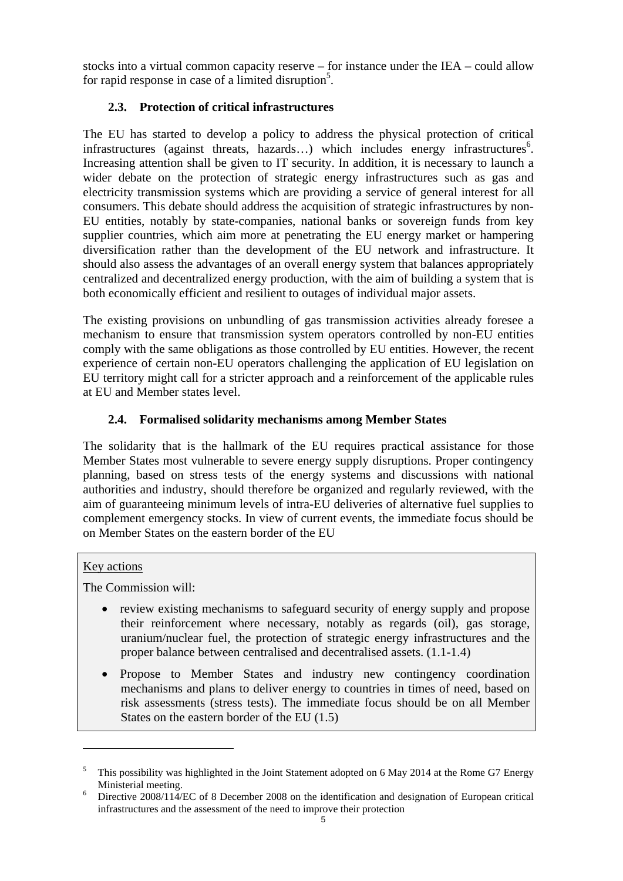stocks into a virtual common capacity reserve – for instance under the IEA – could allow for rapid response in case of a limited disruption<sup>5</sup>.

# **2.3. Protection of critical infrastructures**

The EU has started to develop a policy to address the physical protection of critical infrastructures (against threats, hazards...) which includes energy infrastructures<sup>6</sup>. Increasing attention shall be given to IT security. In addition, it is necessary to launch a wider debate on the protection of strategic energy infrastructures such as gas and electricity transmission systems which are providing a service of general interest for all consumers. This debate should address the acquisition of strategic infrastructures by non-EU entities, notably by state-companies, national banks or sovereign funds from key supplier countries, which aim more at penetrating the EU energy market or hampering diversification rather than the development of the EU network and infrastructure. It should also assess the advantages of an overall energy system that balances appropriately centralized and decentralized energy production, with the aim of building a system that is both economically efficient and resilient to outages of individual major assets.

The existing provisions on unbundling of gas transmission activities already foresee a mechanism to ensure that transmission system operators controlled by non-EU entities comply with the same obligations as those controlled by EU entities. However, the recent experience of certain non-EU operators challenging the application of EU legislation on EU territory might call for a stricter approach and a reinforcement of the applicable rules at EU and Member states level.

# **2.4. Formalised solidarity mechanisms among Member States**

The solidarity that is the hallmark of the EU requires practical assistance for those Member States most vulnerable to severe energy supply disruptions. Proper contingency planning, based on stress tests of the energy systems and discussions with national authorities and industry, should therefore be organized and regularly reviewed, with the aim of guaranteeing minimum levels of intra-EU deliveries of alternative fuel supplies to complement emergency stocks. In view of current events, the immediate focus should be on Member States on the eastern border of the EU

 $\overline{a}$ 

The Commission will:

- review existing mechanisms to safeguard security of energy supply and propose their reinforcement where necessary, notably as regards (oil), gas storage, uranium/nuclear fuel, the protection of strategic energy infrastructures and the proper balance between centralised and decentralised assets. (1.1-1.4)
- Propose to Member States and industry new contingency coordination mechanisms and plans to deliver energy to countries in times of need, based on risk assessments (stress tests). The immediate focus should be on all Member States on the eastern border of the EU (1.5)

**Key** actions

<sup>5</sup> This possibility was highlighted in the Joint Statement adopted on 6 May 2014 at the Rome G7 Energy Ministerial meeting.

Directive 2008/114/EC of 8 December 2008 on the identification and designation of European critical infrastructures and the assessment of the need to improve their protection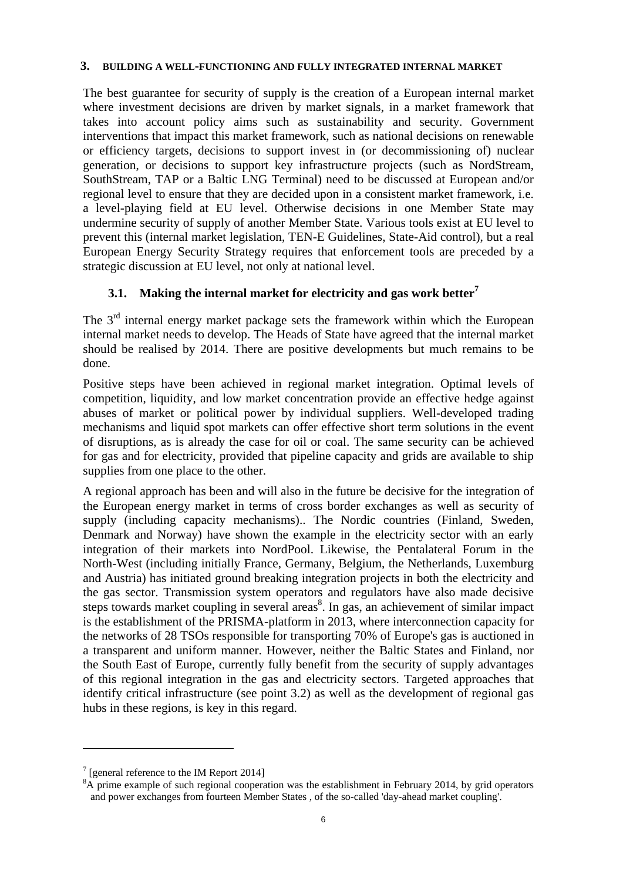#### **3. BUILDING A WELL-FUNCTIONING AND FULLY INTEGRATED INTERNAL MARKET**

The best guarantee for security of supply is the creation of a European internal market where investment decisions are driven by market signals, in a market framework that takes into account policy aims such as sustainability and security. Government interventions that impact this market framework, such as national decisions on renewable or efficiency targets, decisions to support invest in (or decommissioning of) nuclear generation, or decisions to support key infrastructure projects (such as NordStream, SouthStream, TAP or a Baltic LNG Terminal) need to be discussed at European and/or regional level to ensure that they are decided upon in a consistent market framework, i.e. a level-playing field at EU level. Otherwise decisions in one Member State may undermine security of supply of another Member State. Various tools exist at EU level to prevent this (internal market legislation, TEN-E Guidelines, State-Aid control), but a real European Energy Security Strategy requires that enforcement tools are preceded by a strategic discussion at EU level, not only at national level.

# **3.1. Making the internal market for electricity and gas work better**

The 3<sup>rd</sup> internal energy market package sets the framework within which the European internal market needs to develop. The Heads of State have agreed that the internal market should be realised by 2014. There are positive developments but much remains to be done.

Positive steps have been achieved in regional market integration. Optimal levels of competition, liquidity, and low market concentration provide an effective hedge against abuses of market or political power by individual suppliers. Well-developed trading mechanisms and liquid spot markets can offer effective short term solutions in the event of disruptions, as is already the case for oil or coal. The same security can be achieved for gas and for electricity, provided that pipeline capacity and grids are available to ship supplies from one place to the other.

A regional approach has been and will also in the future be decisive for the integration of the European energy market in terms of cross border exchanges as well as security of supply (including capacity mechanisms).. The Nordic countries (Finland, Sweden, Denmark and Norway) have shown the example in the electricity sector with an early integration of their markets into NordPool. Likewise, the Pentalateral Forum in the North-West (including initially France, Germany, Belgium, the Netherlands, Luxemburg and Austria) has initiated ground breaking integration projects in both the electricity and the gas sector. Transmission system operators and regulators have also made decisive steps towards market coupling in several areas<sup>8</sup>. In gas, an achievement of similar impact is the establishment of the PRISMA-platform in 2013, where interconnection capacity for the networks of 28 TSOs responsible for transporting 70% of Europe's gas is auctioned in a transparent and uniform manner. However, neither the Baltic States and Finland, nor the South East of Europe, currently fully benefit from the security of supply advantages of this regional integration in the gas and electricity sectors. Targeted approaches that identify critical infrastructure (see point 3.2) as well as the development of regional gas hubs in these regions, is key in this regard.

 $7$  [general reference to the IM Report 2014]

 ${}^{8}$ A prime example of such regional cooperation was the establishment in February 2014, by grid operators and power exchanges from fourteen Member States , of the so-called 'day-ahead market coupling'.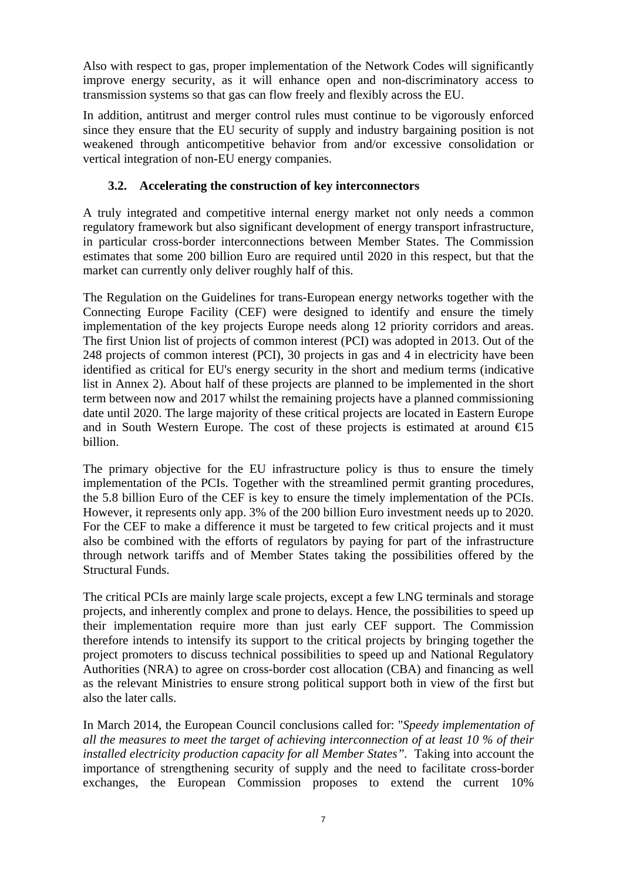Also with respect to gas, proper implementation of the Network Codes will significantly improve energy security, as it will enhance open and non-discriminatory access to transmission systems so that gas can flow freely and flexibly across the EU.

In addition, antitrust and merger control rules must continue to be vigorously enforced since they ensure that the EU security of supply and industry bargaining position is not weakened through anticompetitive behavior from and/or excessive consolidation or vertical integration of non-EU energy companies.

# **3.2. Accelerating the construction of key interconnectors**

A truly integrated and competitive internal energy market not only needs a common regulatory framework but also significant development of energy transport infrastructure, in particular cross-border interconnections between Member States. The Commission estimates that some 200 billion Euro are required until 2020 in this respect, but that the market can currently only deliver roughly half of this.

The Regulation on the Guidelines for trans-European energy networks together with the Connecting Europe Facility (CEF) were designed to identify and ensure the timely implementation of the key projects Europe needs along 12 priority corridors and areas. The first Union list of projects of common interest (PCI) was adopted in 2013. Out of the 248 projects of common interest (PCI), 30 projects in gas and 4 in electricity have been identified as critical for EU's energy security in the short and medium terms (indicative list in Annex 2). About half of these projects are planned to be implemented in the short term between now and 2017 whilst the remaining projects have a planned commissioning date until 2020. The large majority of these critical projects are located in Eastern Europe and in South Western Europe. The cost of these projects is estimated at around  $\epsilon$ 15 billion.

The primary objective for the EU infrastructure policy is thus to ensure the timely implementation of the PCIs. Together with the streamlined permit granting procedures, the 5.8 billion Euro of the CEF is key to ensure the timely implementation of the PCIs. However, it represents only app. 3% of the 200 billion Euro investment needs up to 2020. For the CEF to make a difference it must be targeted to few critical projects and it must also be combined with the efforts of regulators by paying for part of the infrastructure through network tariffs and of Member States taking the possibilities offered by the Structural Funds.

The critical PCIs are mainly large scale projects, except a few LNG terminals and storage projects, and inherently complex and prone to delays. Hence, the possibilities to speed up their implementation require more than just early CEF support. The Commission therefore intends to intensify its support to the critical projects by bringing together the project promoters to discuss technical possibilities to speed up and National Regulatory Authorities (NRA) to agree on cross-border cost allocation (CBA) and financing as well as the relevant Ministries to ensure strong political support both in view of the first but also the later calls.

In March 2014, the European Council conclusions called for: "*Speedy implementation of all the measures to meet the target of achieving interconnection of at least 10 % of their installed electricity production capacity for all Member States*". Taking into account the importance of strengthening security of supply and the need to facilitate cross-border exchanges, the European Commission proposes to extend the current 10%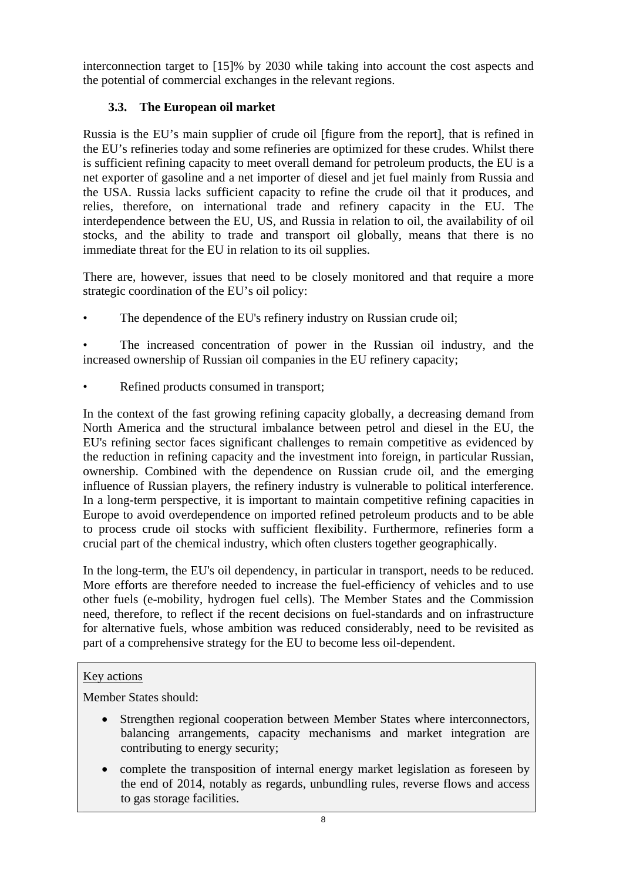interconnection target to [15]% by 2030 while taking into account the cost aspects and the potential of commercial exchanges in the relevant regions.

# **3.3. The European oil market**

Russia is the EU's main supplier of crude oil [figure from the report], that is refined in the EU's refineries today and some refineries are optimized for these crudes. Whilst there is sufficient refining capacity to meet overall demand for petroleum products, the EU is a net exporter of gasoline and a net importer of diesel and jet fuel mainly from Russia and the USA. Russia lacks sufficient capacity to refine the crude oil that it produces, and relies, therefore, on international trade and refinery capacity in the EU. The interdependence between the EU, US, and Russia in relation to oil, the availability of oil stocks, and the ability to trade and transport oil globally, means that there is no immediate threat for the EU in relation to its oil supplies.

There are, however, issues that need to be closely monitored and that require a more strategic coordination of the EU's oil policy:

The dependence of the EU's refinery industry on Russian crude oil;

The increased concentration of power in the Russian oil industry, and the increased ownership of Russian oil companies in the EU refinery capacity;

Refined products consumed in transport;

In the context of the fast growing refining capacity globally, a decreasing demand from North America and the structural imbalance between petrol and diesel in the EU, the EU's refining sector faces significant challenges to remain competitive as evidenced by the reduction in refining capacity and the investment into foreign, in particular Russian, ownership. Combined with the dependence on Russian crude oil, and the emerging influence of Russian players, the refinery industry is vulnerable to political interference. In a long-term perspective, it is important to maintain competitive refining capacities in Europe to avoid overdependence on imported refined petroleum products and to be able to process crude oil stocks with sufficient flexibility. Furthermore, refineries form a crucial part of the chemical industry, which often clusters together geographically.

In the long-term, the EU's oil dependency, in particular in transport, needs to be reduced. More efforts are therefore needed to increase the fuel-efficiency of vehicles and to use other fuels (e-mobility, hydrogen fuel cells). The Member States and the Commission need, therefore, to reflect if the recent decisions on fuel-standards and on infrastructure for alternative fuels, whose ambition was reduced considerably, need to be revisited as part of a comprehensive strategy for the EU to become less oil-dependent.

# Key actions

Member States should:

- Strengthen regional cooperation between Member States where interconnectors, balancing arrangements, capacity mechanisms and market integration are contributing to energy security;
- complete the transposition of internal energy market legislation as foreseen by the end of 2014, notably as regards, unbundling rules, reverse flows and access to gas storage facilities.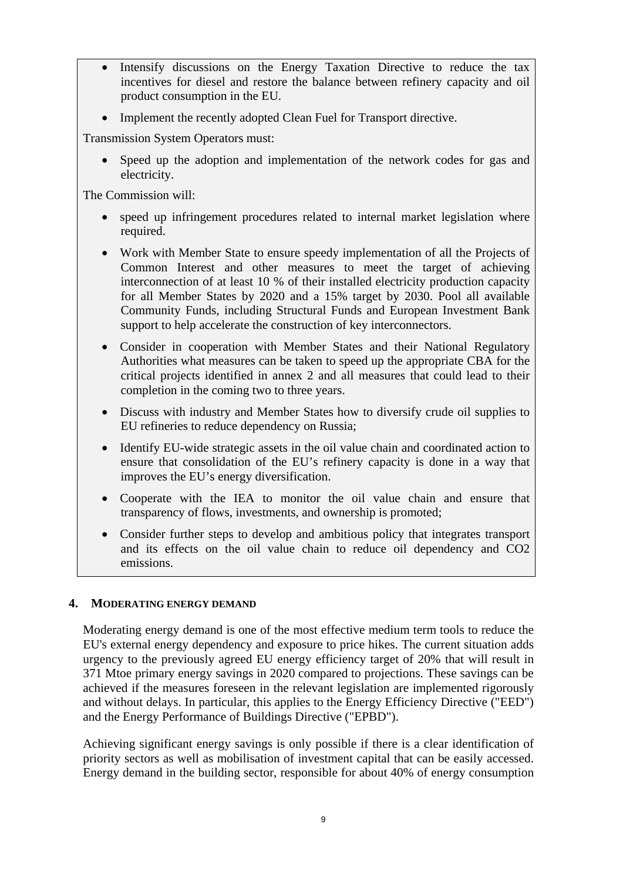- Intensify discussions on the Energy Taxation Directive to reduce the tax incentives for diesel and restore the balance between refinery capacity and oil product consumption in the EU.
- Implement the recently adopted Clean Fuel for Transport directive.

Transmission System Operators must:

• Speed up the adoption and implementation of the network codes for gas and electricity.

The Commission will:

- speed up infringement procedures related to internal market legislation where required.
- Work with Member State to ensure speedy implementation of all the Projects of Common Interest and other measures to meet the target of achieving interconnection of at least 10 % of their installed electricity production capacity for all Member States by 2020 and a 15% target by 2030. Pool all available Community Funds, including Structural Funds and European Investment Bank support to help accelerate the construction of key interconnectors.
- Consider in cooperation with Member States and their National Regulatory Authorities what measures can be taken to speed up the appropriate CBA for the critical projects identified in annex 2 and all measures that could lead to their completion in the coming two to three years.
- Discuss with industry and Member States how to diversify crude oil supplies to EU refineries to reduce dependency on Russia;
- Identify EU-wide strategic assets in the oil value chain and coordinated action to ensure that consolidation of the EU's refinery capacity is done in a way that improves the EU's energy diversification.
- Cooperate with the IEA to monitor the oil value chain and ensure that transparency of flows, investments, and ownership is promoted;
- Consider further steps to develop and ambitious policy that integrates transport and its effects on the oil value chain to reduce oil dependency and CO2 emissions.

#### **4. MODERATING ENERGY DEMAND**

Moderating energy demand is one of the most effective medium term tools to reduce the EU's external energy dependency and exposure to price hikes. The current situation adds urgency to the previously agreed EU energy efficiency target of 20% that will result in 371 Mtoe primary energy savings in 2020 compared to projections. These savings can be achieved if the measures foreseen in the relevant legislation are implemented rigorously and without delays. In particular, this applies to the Energy Efficiency Directive ("EED") and the Energy Performance of Buildings Directive ("EPBD").

Achieving significant energy savings is only possible if there is a clear identification of priority sectors as well as mobilisation of investment capital that can be easily accessed. Energy demand in the building sector, responsible for about 40% of energy consumption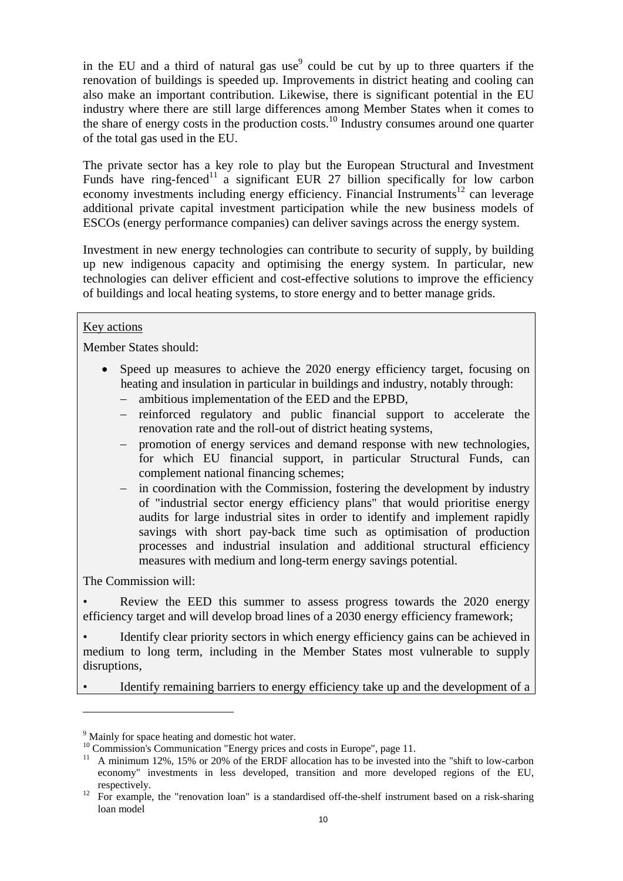in the EU and a third of natural gas use<sup>9</sup> could be cut by up to three quarters if the renovation of buildings is speeded up. Improvements in district heating and cooling can also make an important contribution. Likewise, there is significant potential in the EU industry where there are still large differences among Member States when it comes to the share of energy costs in the production costs.<sup>10</sup> Industry consumes around one quarter of the total gas used in the EU.

The private sector has a key role to play but the European Structural and Investment Funds have ring-fenced<sup>11</sup> a significant EUR 27 billion specifically for low carbon economy investments including energy efficiency. Financial Instruments<sup>12</sup> can leverage additional private capital investment participation while the new business models of ESCOs (energy performance companies) can deliver savings across the energy system.

Investment in new energy technologies can contribute to security of supply, by building up new indigenous capacity and optimising the energy system. In particular, new technologies can deliver efficient and cost-effective solutions to improve the efficiency of buildings and local heating systems, to store energy and to better manage grids.

# Key actions

Member States should:

- Speed up measures to achieve the 2020 energy efficiency target, focusing on heating and insulation in particular in buildings and industry, notably through:
	- − ambitious implementation of the EED and the EPBD,
	- − reinforced regulatory and public financial support to accelerate the renovation rate and the roll-out of district heating systems,
	- − promotion of energy services and demand response with new technologies, for which EU financial support, in particular Structural Funds, can complement national financing schemes;
	- in coordination with the Commission, fostering the development by industry of "industrial sector energy efficiency plans" that would prioritise energy audits for large industrial sites in order to identify and implement rapidly savings with short pay-back time such as optimisation of production processes and industrial insulation and additional structural efficiency measures with medium and long-term energy savings potential.

The Commission will:

 $\overline{a}$ 

Review the EED this summer to assess progress towards the 2020 energy efficiency target and will develop broad lines of a 2030 energy efficiency framework;

• Identify clear priority sectors in which energy efficiency gains can be achieved in medium to long term, including in the Member States most vulnerable to supply disruptions,

• Identify remaining barriers to energy efficiency take up and the development of a

<sup>&</sup>lt;sup>9</sup> Mainly for space heating and domestic hot water.

<sup>&</sup>lt;sup>10</sup> Commission's Communication "Energy prices and costs in Europe", page 11.

<sup>&</sup>lt;sup>11</sup> A minimum 12%, 15% or 20% of the ERDF allocation has to be invested into the "shift to low-carbon" economy" investments in less developed, transition and more developed regions of the EU,

respectively. 12 For example, the "renovation loan" is a standardised off-the-shelf instrument based on a risk-sharing loan model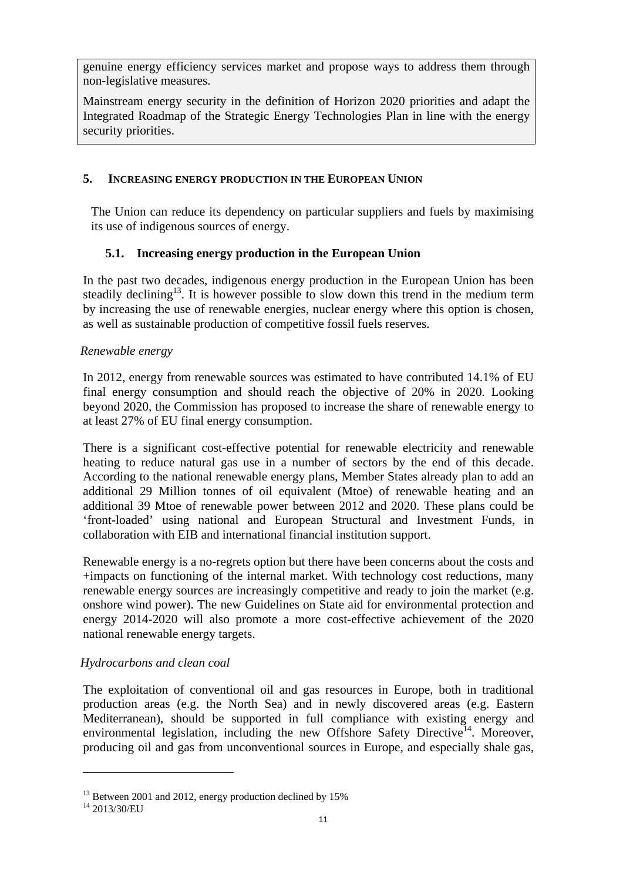genuine energy efficiency services market and propose ways to address them through non-legislative measures.

Mainstream energy security in the definition of Horizon 2020 priorities and adapt the Integrated Roadmap of the Strategic Energy Technologies Plan in line with the energy security priorities.

### **5. INCREASING ENERGY PRODUCTION IN THE EUROPEAN UNION**

The Union can reduce its dependency on particular suppliers and fuels by maximising its use of indigenous sources of energy.

# **5.1. Increasing energy production in the European Union**

In the past two decades, indigenous energy production in the European Union has been steadily declining<sup>13</sup>. It is however possible to slow down this trend in the medium term by increasing the use of renewable energies, nuclear energy where this option is chosen, as well as sustainable production of competitive fossil fuels reserves.

### *Renewable energy*

In 2012, energy from renewable sources was estimated to have contributed 14.1% of EU final energy consumption and should reach the objective of 20% in 2020. Looking beyond 2020, the Commission has proposed to increase the share of renewable energy to at least 27% of EU final energy consumption.

There is a significant cost-effective potential for renewable electricity and renewable heating to reduce natural gas use in a number of sectors by the end of this decade. According to the national renewable energy plans, Member States already plan to add an additional 29 Million tonnes of oil equivalent (Mtoe) of renewable heating and an additional 39 Mtoe of renewable power between 2012 and 2020. These plans could be 'front-loaded' using national and European Structural and Investment Funds, in collaboration with EIB and international financial institution support.

Renewable energy is a no-regrets option but there have been concerns about the costs and +impacts on functioning of the internal market. With technology cost reductions, many renewable energy sources are increasingly competitive and ready to join the market (e.g. onshore wind power). The new Guidelines on State aid for environmental protection and energy 2014-2020 will also promote a more cost-effective achievement of the 2020 national renewable energy targets.

# *Hydrocarbons and clean coal*

The exploitation of conventional oil and gas resources in Europe, both in traditional production areas (e.g. the North Sea) and in newly discovered areas (e.g. Eastern Mediterranean), should be supported in full compliance with existing energy and environmental legislation, including the new Offshore Safety Directive<sup>14</sup>. Moreover, producing oil and gas from unconventional sources in Europe, and especially shale gas,

<sup>&</sup>lt;sup>13</sup> Between 2001 and 2012, energy production declined by 15%

<sup>14 2013/30/</sup>EU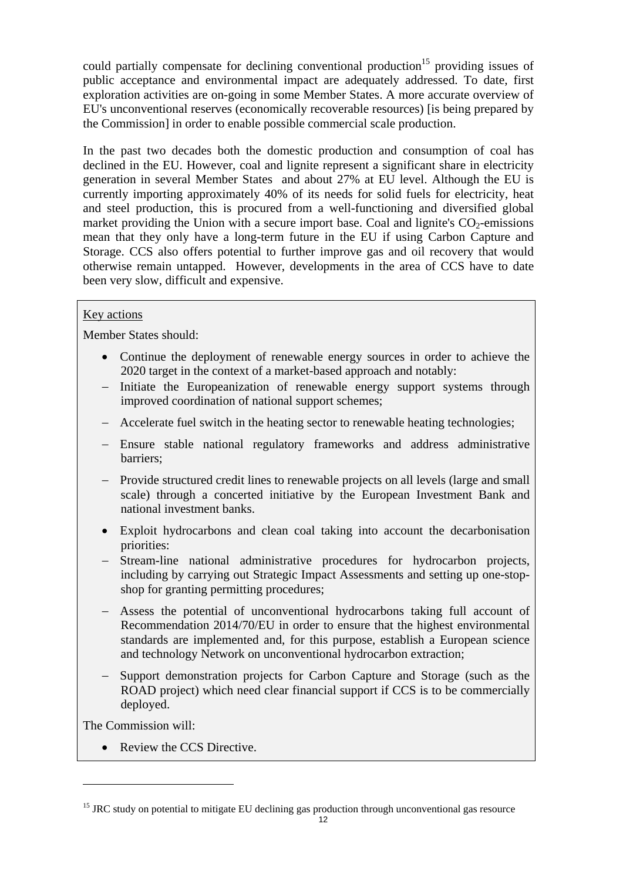could partially compensate for declining conventional production<sup>15</sup> providing issues of public acceptance and environmental impact are adequately addressed. To date, first exploration activities are on-going in some Member States. A more accurate overview of EU's unconventional reserves (economically recoverable resources) [is being prepared by the Commission] in order to enable possible commercial scale production.

In the past two decades both the domestic production and consumption of coal has declined in the EU. However, coal and lignite represent a significant share in electricity generation in several Member States and about 27% at EU level. Although the EU is currently importing approximately 40% of its needs for solid fuels for electricity, heat and steel production, this is procured from a well-functioning and diversified global market providing the Union with a secure import base. Coal and lignite's  $CO<sub>2</sub>$ -emissions mean that they only have a long-term future in the EU if using Carbon Capture and Storage. CCS also offers potential to further improve gas and oil recovery that would otherwise remain untapped. However, developments in the area of CCS have to date been very slow, difficult and expensive.

### Key actions

Member States should:

- Continue the deployment of renewable energy sources in order to achieve the 2020 target in the context of a market-based approach and notably:
- − Initiate the Europeanization of renewable energy support systems through improved coordination of national support schemes;
- − Accelerate fuel switch in the heating sector to renewable heating technologies;
- − Ensure stable national regulatory frameworks and address administrative barriers;
- − Provide structured credit lines to renewable projects on all levels (large and small scale) through a concerted initiative by the European Investment Bank and national investment banks.
- Exploit hydrocarbons and clean coal taking into account the decarbonisation priorities:
- − Stream-line national administrative procedures for hydrocarbon projects, including by carrying out Strategic Impact Assessments and setting up one-stopshop for granting permitting procedures;
- − Assess the potential of unconventional hydrocarbons taking full account of Recommendation 2014/70/EU in order to ensure that the highest environmental standards are implemented and, for this purpose, establish a European science and technology Network on unconventional hydrocarbon extraction;
- − Support demonstration projects for Carbon Capture and Storage (such as the ROAD project) which need clear financial support if CCS is to be commercially deployed.

The Commission will:

 $\overline{a}$ 

• Review the CCS Directive.

<sup>&</sup>lt;sup>15</sup> JRC study on potential to mitigate EU declining gas production through unconventional gas resource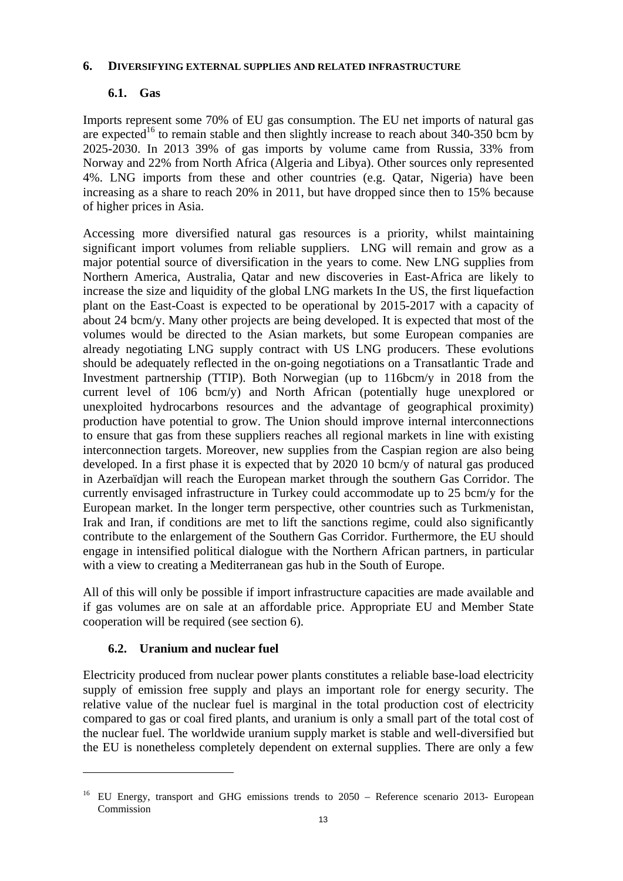#### **6. DIVERSIFYING EXTERNAL SUPPLIES AND RELATED INFRASTRUCTURE**

# **6.1. Gas**

Imports represent some 70% of EU gas consumption. The EU net imports of natural gas are expected<sup>16</sup> to remain stable and then slightly increase to reach about 340-350 bcm by 2025-2030. In 2013 39% of gas imports by volume came from Russia, 33% from Norway and 22% from North Africa (Algeria and Libya). Other sources only represented 4%. LNG imports from these and other countries (e.g. Qatar, Nigeria) have been increasing as a share to reach 20% in 2011, but have dropped since then to 15% because of higher prices in Asia.

Accessing more diversified natural gas resources is a priority, whilst maintaining significant import volumes from reliable suppliers. LNG will remain and grow as a major potential source of diversification in the years to come. New LNG supplies from Northern America, Australia, Qatar and new discoveries in East-Africa are likely to increase the size and liquidity of the global LNG markets In the US, the first liquefaction plant on the East-Coast is expected to be operational by 2015-2017 with a capacity of about 24 bcm/y. Many other projects are being developed. It is expected that most of the volumes would be directed to the Asian markets, but some European companies are already negotiating LNG supply contract with US LNG producers. These evolutions should be adequately reflected in the on-going negotiations on a Transatlantic Trade and Investment partnership (TTIP). Both Norwegian (up to 116bcm/y in 2018 from the current level of 106 bcm/y) and North African (potentially huge unexplored or unexploited hydrocarbons resources and the advantage of geographical proximity) production have potential to grow. The Union should improve internal interconnections to ensure that gas from these suppliers reaches all regional markets in line with existing interconnection targets. Moreover, new supplies from the Caspian region are also being developed. In a first phase it is expected that by 2020 10 bcm/y of natural gas produced in Azerbaïdjan will reach the European market through the southern Gas Corridor. The currently envisaged infrastructure in Turkey could accommodate up to 25 bcm/y for the European market. In the longer term perspective, other countries such as Turkmenistan, Irak and Iran, if conditions are met to lift the sanctions regime, could also significantly contribute to the enlargement of the Southern Gas Corridor. Furthermore, the EU should engage in intensified political dialogue with the Northern African partners, in particular with a view to creating a Mediterranean gas hub in the South of Europe.

All of this will only be possible if import infrastructure capacities are made available and if gas volumes are on sale at an affordable price. Appropriate EU and Member State cooperation will be required (see section 6).

# **6.2. Uranium and nuclear fuel**

 $\overline{a}$ 

Electricity produced from nuclear power plants constitutes a reliable base-load electricity supply of emission free supply and plays an important role for energy security. The relative value of the nuclear fuel is marginal in the total production cost of electricity compared to gas or coal fired plants, and uranium is only a small part of the total cost of the nuclear fuel. The worldwide uranium supply market is stable and well-diversified but the EU is nonetheless completely dependent on external supplies. There are only a few

<sup>16</sup> EU Energy, transport and GHG emissions trends to 2050 – Reference scenario 2013- European Commission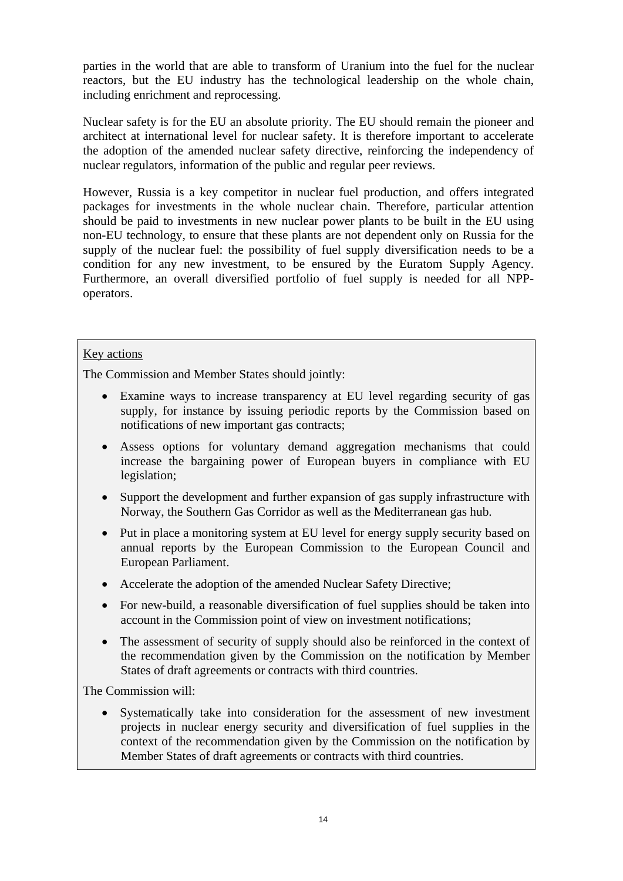parties in the world that are able to transform of Uranium into the fuel for the nuclear reactors, but the EU industry has the technological leadership on the whole chain, including enrichment and reprocessing.

Nuclear safety is for the EU an absolute priority. The EU should remain the pioneer and architect at international level for nuclear safety. It is therefore important to accelerate the adoption of the amended nuclear safety directive, reinforcing the independency of nuclear regulators, information of the public and regular peer reviews.

However, Russia is a key competitor in nuclear fuel production, and offers integrated packages for investments in the whole nuclear chain. Therefore, particular attention should be paid to investments in new nuclear power plants to be built in the EU using non-EU technology, to ensure that these plants are not dependent only on Russia for the supply of the nuclear fuel: the possibility of fuel supply diversification needs to be a condition for any new investment, to be ensured by the Euratom Supply Agency. Furthermore, an overall diversified portfolio of fuel supply is needed for all NPPoperators.

#### Key actions

The Commission and Member States should jointly:

- Examine ways to increase transparency at EU level regarding security of gas supply, for instance by issuing periodic reports by the Commission based on notifications of new important gas contracts;
- Assess options for voluntary demand aggregation mechanisms that could increase the bargaining power of European buyers in compliance with EU legislation;
- Support the development and further expansion of gas supply infrastructure with Norway, the Southern Gas Corridor as well as the Mediterranean gas hub.
- Put in place a monitoring system at EU level for energy supply security based on annual reports by the European Commission to the European Council and European Parliament.
- Accelerate the adoption of the amended Nuclear Safety Directive;
- For new-build, a reasonable diversification of fuel supplies should be taken into account in the Commission point of view on investment notifications;
- The assessment of security of supply should also be reinforced in the context of the recommendation given by the Commission on the notification by Member States of draft agreements or contracts with third countries.

The Commission will:

• Systematically take into consideration for the assessment of new investment projects in nuclear energy security and diversification of fuel supplies in the context of the recommendation given by the Commission on the notification by Member States of draft agreements or contracts with third countries.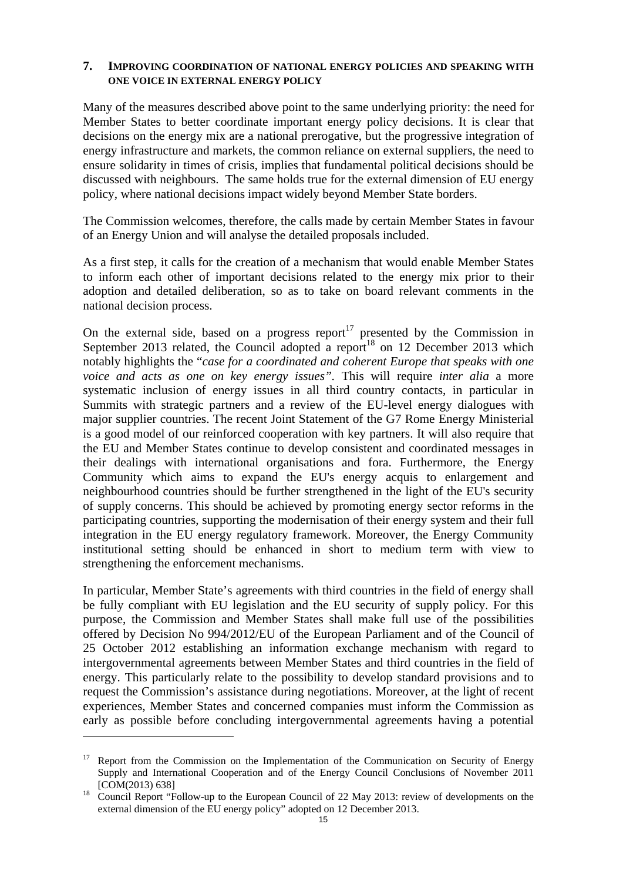### **7. IMPROVING COORDINATION OF NATIONAL ENERGY POLICIES AND SPEAKING WITH ONE VOICE IN EXTERNAL ENERGY POLICY**

Many of the measures described above point to the same underlying priority: the need for Member States to better coordinate important energy policy decisions. It is clear that decisions on the energy mix are a national prerogative, but the progressive integration of energy infrastructure and markets, the common reliance on external suppliers, the need to ensure solidarity in times of crisis, implies that fundamental political decisions should be discussed with neighbours. The same holds true for the external dimension of EU energy policy, where national decisions impact widely beyond Member State borders.

The Commission welcomes, therefore, the calls made by certain Member States in favour of an Energy Union and will analyse the detailed proposals included.

As a first step, it calls for the creation of a mechanism that would enable Member States to inform each other of important decisions related to the energy mix prior to their adoption and detailed deliberation, so as to take on board relevant comments in the national decision process.

On the external side, based on a progress report<sup>17</sup> presented by the Commission in September 2013 related, the Council adopted a report<sup>18</sup> on 12 December 2013 which notably highlights the "*case for a coordinated and coherent Europe that speaks with one voice and acts as one on key energy issues".* This will require *inter alia* a more systematic inclusion of energy issues in all third country contacts, in particular in Summits with strategic partners and a review of the EU-level energy dialogues with major supplier countries. The recent Joint Statement of the G7 Rome Energy Ministerial is a good model of our reinforced cooperation with key partners. It will also require that the EU and Member States continue to develop consistent and coordinated messages in their dealings with international organisations and fora. Furthermore, the Energy Community which aims to expand the EU's energy acquis to enlargement and neighbourhood countries should be further strengthened in the light of the EU's security of supply concerns. This should be achieved by promoting energy sector reforms in the participating countries, supporting the modernisation of their energy system and their full integration in the EU energy regulatory framework. Moreover, the Energy Community institutional setting should be enhanced in short to medium term with view to strengthening the enforcement mechanisms.

In particular, Member State's agreements with third countries in the field of energy shall be fully compliant with EU legislation and the EU security of supply policy. For this purpose, the Commission and Member States shall make full use of the possibilities offered by Decision No 994/2012/EU of the European Parliament and of the Council of 25 October 2012 establishing an information exchange mechanism with regard to intergovernmental agreements between Member States and third countries in the field of energy. This particularly relate to the possibility to develop standard provisions and to request the Commission's assistance during negotiations. Moreover, at the light of recent experiences, Member States and concerned companies must inform the Commission as early as possible before concluding intergovernmental agreements having a potential

 $17$  Report from the Commission on the Implementation of the Communication on Security of Energy Supply and International Cooperation and of the Energy Council Conclusions of November 2011

<sup>[</sup>COM(2013) 638] 18 Council Report "Follow-up to the European Council of 22 May 2013: review of developments on the external dimension of the EU energy policy" adopted on 12 December 2013.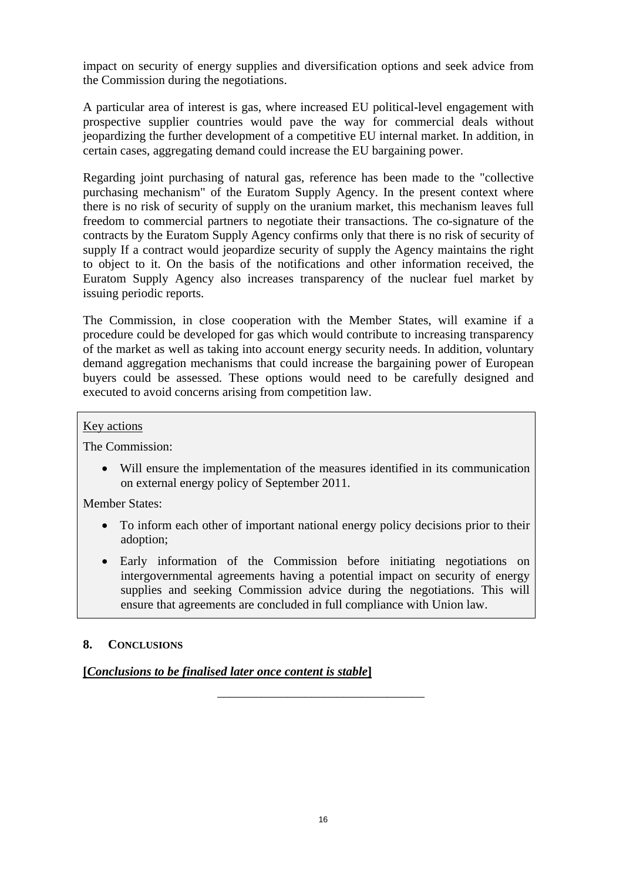impact on security of energy supplies and diversification options and seek advice from the Commission during the negotiations.

A particular area of interest is gas, where increased EU political-level engagement with prospective supplier countries would pave the way for commercial deals without jeopardizing the further development of a competitive EU internal market. In addition, in certain cases, aggregating demand could increase the EU bargaining power.

Regarding joint purchasing of natural gas, reference has been made to the "collective purchasing mechanism" of the Euratom Supply Agency. In the present context where there is no risk of security of supply on the uranium market, this mechanism leaves full freedom to commercial partners to negotiate their transactions. The co-signature of the contracts by the Euratom Supply Agency confirms only that there is no risk of security of supply If a contract would jeopardize security of supply the Agency maintains the right to object to it. On the basis of the notifications and other information received, the Euratom Supply Agency also increases transparency of the nuclear fuel market by issuing periodic reports.

The Commission, in close cooperation with the Member States, will examine if a procedure could be developed for gas which would contribute to increasing transparency of the market as well as taking into account energy security needs. In addition, voluntary demand aggregation mechanisms that could increase the bargaining power of European buyers could be assessed. These options would need to be carefully designed and executed to avoid concerns arising from competition law.

#### Key actions

The Commission:

• Will ensure the implementation of the measures identified in its communication on external energy policy of September 2011.

Member States:

- To inform each other of important national energy policy decisions prior to their adoption;
- Early information of the Commission before initiating negotiations on intergovernmental agreements having a potential impact on security of energy supplies and seeking Commission advice during the negotiations. This will ensure that agreements are concluded in full compliance with Union law.

\_\_\_\_\_\_\_\_\_\_\_\_\_\_\_\_\_\_\_\_\_\_\_\_\_\_\_\_\_\_\_\_\_

#### **8. CONCLUSIONS**

# **[***Conclusions to be finalised later once content is stable***]**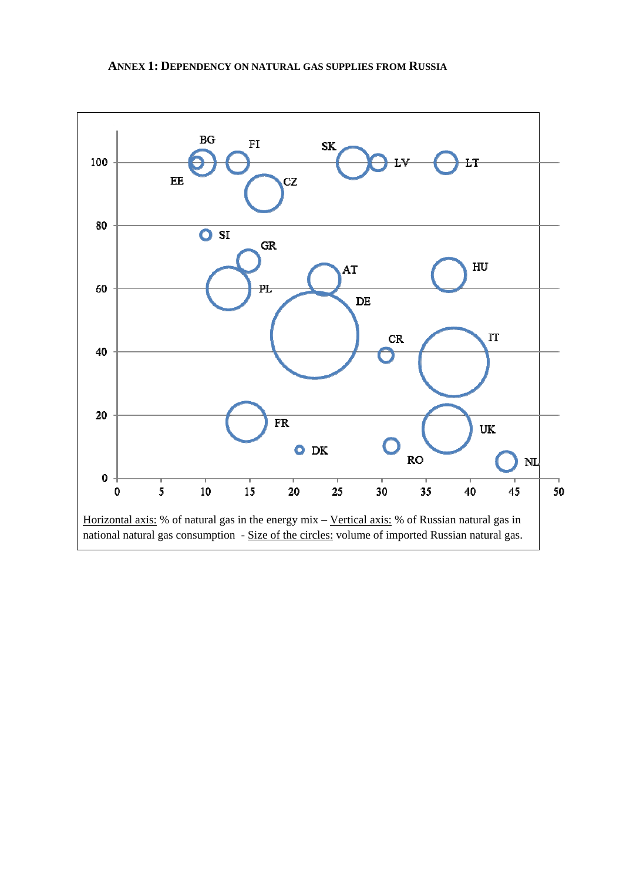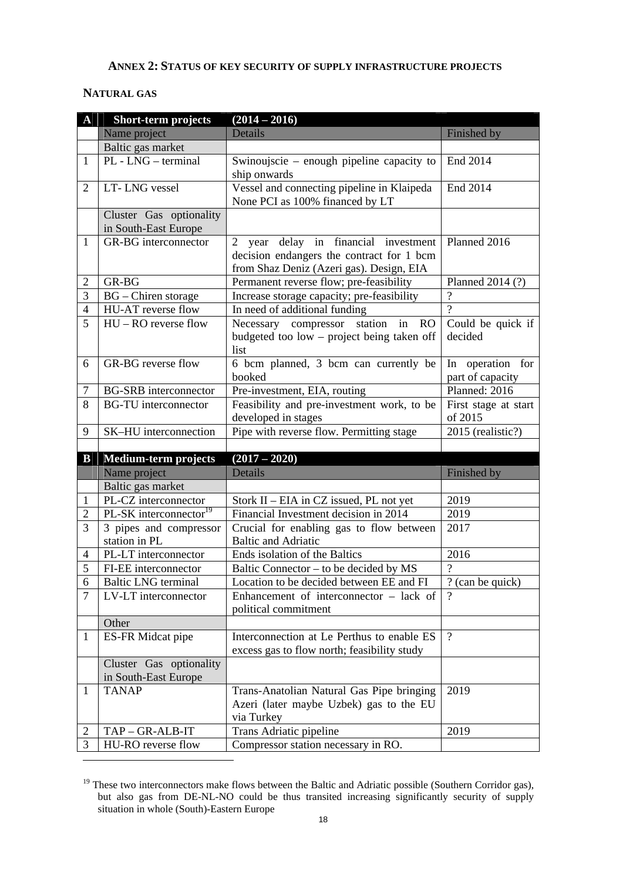#### **ANNEX 2: STATUS OF KEY SECURITY OF SUPPLY INFRASTRUCTURE PROJECTS**

#### **NATURAL GAS**

| $\mathbf{A}$   | <b>Short-term projects</b>         | $(2014 - 2016)$                              |                           |
|----------------|------------------------------------|----------------------------------------------|---------------------------|
|                | Name project                       | Details                                      | Finished by               |
|                | Baltic gas market                  |                                              |                           |
| $\mathbf{1}$   | PL - LNG - terminal                | Swinoujscie – enough pipeline capacity to    | End 2014                  |
|                |                                    | ship onwards                                 |                           |
| 2              | LT-LNG vessel                      | Vessel and connecting pipeline in Klaipeda   | End 2014                  |
|                |                                    | None PCI as 100% financed by LT              |                           |
|                | Cluster Gas optionality            |                                              |                           |
|                | in South-East Europe               |                                              |                           |
| $\mathbf{1}$   | GR-BG interconnector               | 2 year delay in financial investment         | Planned 2016              |
|                |                                    | decision endangers the contract for 1 bcm    |                           |
|                |                                    | from Shaz Deniz (Azeri gas). Design, EIA     |                           |
| 2              | GR-BG                              | Permanent reverse flow; pre-feasibility      | Planned 2014 (?)          |
| 3              | $\overline{BG}$ – Chiren storage   | Increase storage capacity; pre-feasibility   |                           |
| $\overline{4}$ | HU-AT reverse flow                 | In need of additional funding                | $\gamma$                  |
| 5              | HU - RO reverse flow               | Necessary compressor station in<br><b>RO</b> | Could be quick if         |
|                |                                    | budgeted too low – project being taken off   | decided                   |
|                |                                    | list                                         |                           |
| 6              | GR-BG reverse flow                 | 6 bcm planned, 3 bcm can currently be        | operation for<br>In       |
|                |                                    | booked                                       | part of capacity          |
| 7              | <b>BG-SRB</b> interconnector       | Pre-investment, EIA, routing                 | Planned: 2016             |
| 8              | <b>BG-TU</b> interconnector        | Feasibility and pre-investment work, to be   | First stage at start      |
|                |                                    | developed in stages                          | of 2015                   |
| 9              | SK-HU interconnection              | Pipe with reverse flow. Permitting stage     | 2015 (realistic?)         |
|                |                                    |                                              |                           |
| $\bf{B}$       | <b>Medium-term projects</b>        | $(2017 - 2020)$<br>Details                   |                           |
|                | Name project<br>Baltic gas market  |                                              | Finished by               |
| $\mathbf{1}$   | PL-CZ interconnector               | Stork II - EIA in CZ issued, PL not yet      | 2019                      |
| 2              | PL-SK interconnector <sup>19</sup> | Financial Investment decision in 2014        | 2019                      |
| 3              | 3 pipes and compressor             | Crucial for enabling gas to flow between     | 2017                      |
|                | station in PL                      | <b>Baltic and Adriatic</b>                   |                           |
| $\overline{4}$ | PL-LT interconnector               | Ends isolation of the Baltics                | 2016                      |
| 5              | FI-EE interconnector               | Baltic Connector – to be decided by MS       | $\overline{\mathcal{L}}$  |
| 6              | <b>Baltic LNG</b> terminal         | Location to be decided between EE and FI     | $\sqrt{?}$ (can be quick) |
| 7              | LV-LT interconnector               | Enhancement of interconnector $-$ lack of    | $\gamma$                  |
|                |                                    | political commitment                         |                           |
|                | Other                              |                                              |                           |
| $\mathbf{1}$   | ES-FR Midcat pipe                  | Interconnection at Le Perthus to enable ES   | $\overline{?}$            |
|                |                                    | excess gas to flow north; feasibility study  |                           |
|                | Cluster Gas optionality            |                                              |                           |
|                | in South-East Europe               |                                              |                           |
| 1              | <b>TANAP</b>                       | Trans-Anatolian Natural Gas Pipe bringing    | 2019                      |
|                |                                    | Azeri (later maybe Uzbek) gas to the EU      |                           |
|                |                                    | via Turkey                                   |                           |
| 2              | TAP-GR-ALB-IT                      | Trans Adriatic pipeline                      | 2019                      |
| 3              | HU-RO reverse flow                 | Compressor station necessary in RO.          |                           |

<sup>&</sup>lt;sup>19</sup> These two interconnectors make flows between the Baltic and Adriatic possible (Southern Corridor gas), but also gas from DE-NL-NO could be thus transited increasing significantly security of supply situation in whole (South)-Eastern Europe